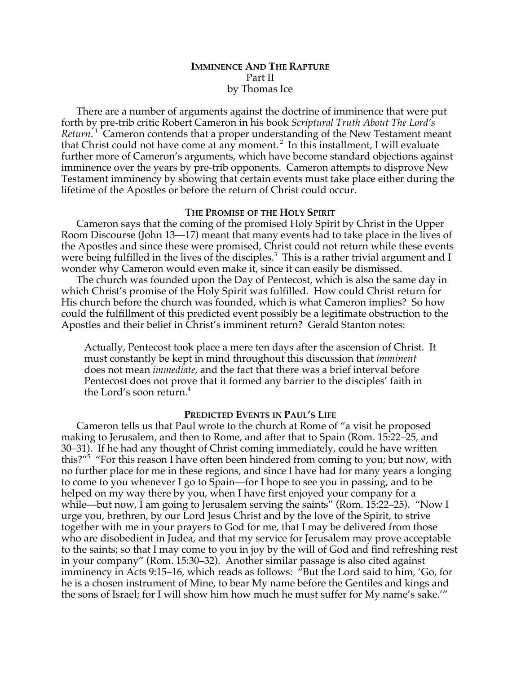# **IMMINENCE AND THE RAPTURE** Part II by Thomas Ice

There are a number of arguments against the doctrine of imminence that were put forth by pre-trib critic Robert Cameron in his book *Scriptural Truth About The Lord's* Return.<sup>1</sup> Cameron contends that a proper understanding of the New Testament meant that Christ could not have come at any moment.<sup>2</sup> In this installment, I will evaluate further more of Cameron's arguments, which have become standard objections against imminence over the years by pre-trib opponents. Cameron attempts to disprove New Testament imminency by showing that certain events must take place either during the lifetime of the Apostles or before the return of Christ could occur.

### **THE PROMISE OF THE HOLY SPIRIT**

Cameron says that the coming of the promised Holy Spirit by Christ in the Upper Room Discourse (John 13—17) meant that many events had to take place in the lives of the Apostles and since these were promised, Christ could not return while these events were being fulfilled in the lives of the disciples. $^3$  This is a rather trivial argument and I wonder why Cameron would even make it, since it can easily be dismissed.

The church was founded upon the Day of Pentecost, which is also the same day in which Christ's promise of the Holy Spirit was fulfilled. How could Christ return for His church before the church was founded, which is what Cameron implies? So how could the fulfillment of this predicted event possibly be a legitimate obstruction to the Apostles and their belief in Christ's imminent return? Gerald Stanton notes:

Actually, Pentecost took place a mere ten days after the ascension of Christ. It must constantly be kept in mind throughout this discussion that *imminent* does not mean *immediate*, and the fact that there was a brief interval before Pentecost does not prove that it formed any barrier to the disciples' faith in the Lord's soon return.<sup>4</sup>

#### **PREDICTED EVENTS IN PAUL'S LIFE**

Cameron tells us that Paul wrote to the church at Rome of "a visit he proposed making to Jerusalem, and then to Rome, and after that to Spain (Rom. 15:22–25, and 30–31). If he had any thought of Christ coming immediately, could he have written this?"5 "For this reason I have often been hindered from coming to you; but now, with no further place for me in these regions, and since I have had for many years a longing to come to you whenever I go to Spain—for I hope to see you in passing, and to be helped on my way there by you, when I have first enjoyed your company for a while—but now, I am going to Jerusalem serving the saints" (Rom. 15:22–25). "Now I urge you, brethren, by our Lord Jesus Christ and by the love of the Spirit, to strive together with me in your prayers to God for me, that I may be delivered from those who are disobedient in Judea, and that my service for Jerusalem may prove acceptable to the saints; so that I may come to you in joy by the will of God and find refreshing rest in your company" (Rom. 15:30–32). Another similar passage is also cited against imminency in Acts 9:15–16, which reads as follows: "But the Lord said to him, 'Go, for he is a chosen instrument of Mine, to bear My name before the Gentiles and kings and the sons of Israel; for I will show him how much he must suffer for My name's sake.'"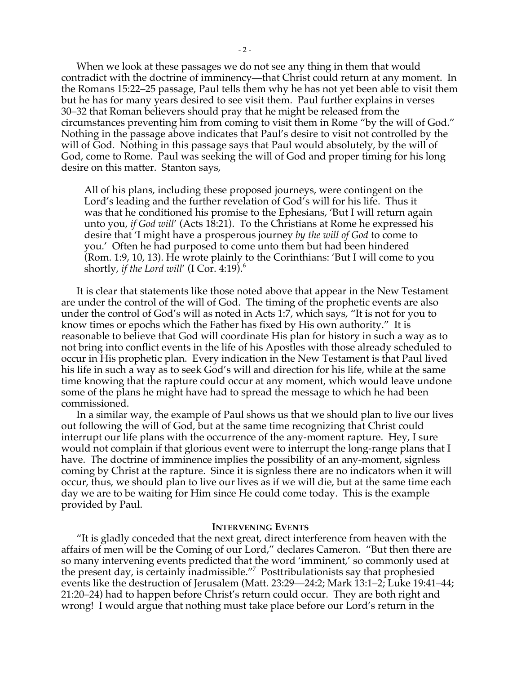When we look at these passages we do not see any thing in them that would contradict with the doctrine of imminency—that Christ could return at any moment. In the Romans 15:22–25 passage, Paul tells them why he has not yet been able to visit them but he has for many years desired to see visit them. Paul further explains in verses 30–32 that Roman believers should pray that he might be released from the circumstances preventing him from coming to visit them in Rome "by the will of God." Nothing in the passage above indicates that Paul's desire to visit not controlled by the will of God. Nothing in this passage says that Paul would absolutely, by the will of God, come to Rome. Paul was seeking the will of God and proper timing for his long desire on this matter. Stanton says,

All of his plans, including these proposed journeys, were contingent on the Lord's leading and the further revelation of God's will for his life. Thus it was that he conditioned his promise to the Ephesians, 'But I will return again unto you, *if God will*' (Acts 18:21). To the Christians at Rome he expressed his desire that 'I might have a prosperous journey *by the will of God* to come to you.' Often he had purposed to come unto them but had been hindered (Rom. 1:9, 10, 13). He wrote plainly to the Corinthians: 'But I will come to you shortly, *if the Lord will*' (I Cor. 4:19).<sup>6</sup>

It is clear that statements like those noted above that appear in the New Testament are under the control of the will of God. The timing of the prophetic events are also under the control of God's will as noted in Acts 1:7, which says, "It is not for you to know times or epochs which the Father has fixed by His own authority." It is reasonable to believe that God will coordinate His plan for history in such a way as to not bring into conflict events in the life of his Apostles with those already scheduled to occur in His prophetic plan. Every indication in the New Testament is that Paul lived his life in such a way as to seek God's will and direction for his life, while at the same time knowing that the rapture could occur at any moment, which would leave undone some of the plans he might have had to spread the message to which he had been commissioned.

In a similar way, the example of Paul shows us that we should plan to live our lives out following the will of God, but at the same time recognizing that Christ could interrupt our life plans with the occurrence of the any-moment rapture. Hey, I sure would not complain if that glorious event were to interrupt the long-range plans that I have. The doctrine of imminence implies the possibility of an any-moment, signless coming by Christ at the rapture. Since it is signless there are no indicators when it will occur, thus, we should plan to live our lives as if we will die, but at the same time each day we are to be waiting for Him since He could come today. This is the example provided by Paul.

#### **INTERVENING EVENTS**

"It is gladly conceded that the next great, direct interference from heaven with the affairs of men will be the Coming of our Lord," declares Cameron. "But then there are so many intervening events predicted that the word 'imminent,' so commonly used at the present day, is certainly inadmissible."7 Posttribulationists say that prophesied events like the destruction of Jerusalem (Matt. 23:29—24:2; Mark 13:1–2; Luke 19:41–44; 21:20–24) had to happen before Christ's return could occur. They are both right and wrong! I would argue that nothing must take place before our Lord's return in the